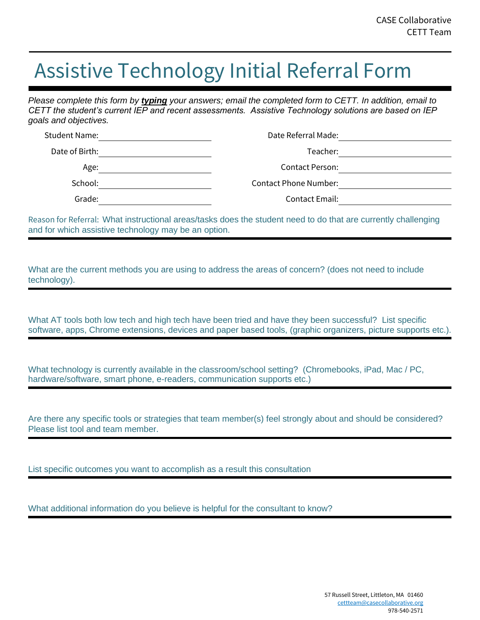## Assistive Technology Initial Referral Form

*Please complete this form by typing your answers; email the completed form to CETT. In addition, email to CETT the student's current IEP and recent assessments. Assistive Technology solutions are based on IEP goals and objectives.*

| Date Referral Made:          | Student Name:  |
|------------------------------|----------------|
| Teacher:                     | Date of Birth: |
| <b>Contact Person:</b>       | Age:           |
| <b>Contact Phone Number:</b> | School:        |
| <b>Contact Email:</b>        | Grade:         |

Reason for Referral: What instructional areas/tasks does the student need to do that are currently challenging and for which assistive technology may be an option.

What are the current methods you are using to address the areas of concern? (does not need to include technology).

What AT tools both low tech and high tech have been tried and have they been successful? List specific software, apps, Chrome extensions, devices and paper based tools, (graphic organizers, picture supports etc.).

What technology is currently available in the classroom/school setting? (Chromebooks, iPad, Mac / PC, hardware/software, smart phone, e-readers, communication supports etc.)

Are there any specific tools or strategies that team member(s) feel strongly about and should be considered? Please list tool and team member.

List specific outcomes you want to accomplish as a result this consultation

What additional information do you believe is helpful for the consultant to know?